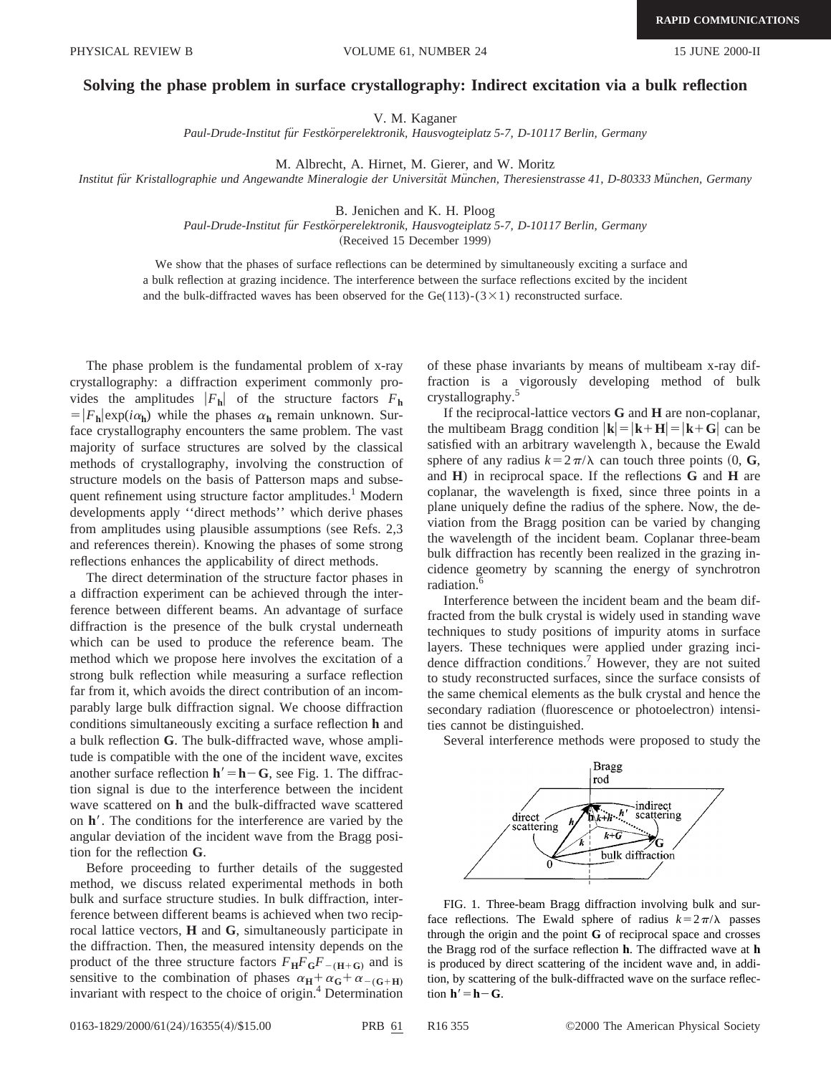## **Solving the phase problem in surface crystallography: Indirect excitation via a bulk reflection**

V. M. Kaganer

*Paul-Drude-Institut fu¨r Festko¨rperelektronik, Hausvogteiplatz 5-7, D-10117 Berlin, Germany*

M. Albrecht, A. Hirnet, M. Gierer, and W. Moritz

*Institut fu¨r Kristallographie und Angewandte Mineralogie der Universita¨t Mu¨nchen, Theresienstrasse 41, D-80333 Mu¨nchen, Germany*

B. Jenichen and K. H. Ploog

*Paul-Drude-Institut fu¨r Festko¨rperelektronik, Hausvogteiplatz 5-7, D-10117 Berlin, Germany*

(Received 15 December 1999)

We show that the phases of surface reflections can be determined by simultaneously exciting a surface and a bulk reflection at grazing incidence. The interference between the surface reflections excited by the incident and the bulk-diffracted waves has been observed for the Ge(113)-( $3\times1$ ) reconstructed surface.

The phase problem is the fundamental problem of x-ray crystallography: a diffraction experiment commonly provides the amplitudes  $|F_{\bf h}|$  of the structure factors  $F_{\bf h}$  $=$   $|F_h| \exp(i\alpha_h)$  while the phases  $\alpha_h$  remain unknown. Surface crystallography encounters the same problem. The vast majority of surface structures are solved by the classical methods of crystallography, involving the construction of structure models on the basis of Patterson maps and subsequent refinement using structure factor amplitudes.<sup>1</sup> Modern developments apply ''direct methods'' which derive phases from amplitudes using plausible assumptions (see Refs.  $2,3$ ) and references therein). Knowing the phases of some strong reflections enhances the applicability of direct methods.

The direct determination of the structure factor phases in a diffraction experiment can be achieved through the interference between different beams. An advantage of surface diffraction is the presence of the bulk crystal underneath which can be used to produce the reference beam. The method which we propose here involves the excitation of a strong bulk reflection while measuring a surface reflection far from it, which avoids the direct contribution of an incomparably large bulk diffraction signal. We choose diffraction conditions simultaneously exciting a surface reflection **h** and a bulk reflection **G**. The bulk-diffracted wave, whose amplitude is compatible with the one of the incident wave, excites another surface reflection  $h' = h - G$ , see Fig. 1. The diffraction signal is due to the interference between the incident wave scattered on **h** and the bulk-diffracted wave scattered on  $h'$ . The conditions for the interference are varied by the angular deviation of the incident wave from the Bragg position for the reflection **G**.

Before proceeding to further details of the suggested method, we discuss related experimental methods in both bulk and surface structure studies. In bulk diffraction, interference between different beams is achieved when two reciprocal lattice vectors, **H** and **G**, simultaneously participate in the diffraction. Then, the measured intensity depends on the product of the three structure factors  $F_{\mathbf{H}}F_{\mathbf{G}}F_{-(\mathbf{H}+\mathbf{G})}$  and is sensitive to the combination of phases  $\alpha_{\text{H}} + \alpha_{\text{G}} + \alpha_{-(\text{G}+\text{H})}$ invariant with respect to the choice of origin.4 Determination

of these phase invariants by means of multibeam x-ray diffraction is a vigorously developing method of bulk crystallography.<sup>5</sup>

If the reciprocal-lattice vectors **G** and **H** are non-coplanar, the multibeam Bragg condition  $|\mathbf{k}| = |\mathbf{k} + \mathbf{H}| = |\mathbf{k} + \mathbf{G}|$  can be satisfied with an arbitrary wavelength  $\lambda$ , because the Ewald sphere of any radius  $k=2\pi/\lambda$  can touch three points  $(0, G, \mathbf{G})$ and **H**) in reciprocal space. If the reflections **G** and **H** are coplanar, the wavelength is fixed, since three points in a plane uniquely define the radius of the sphere. Now, the deviation from the Bragg position can be varied by changing the wavelength of the incident beam. Coplanar three-beam bulk diffraction has recently been realized in the grazing incidence geometry by scanning the energy of synchrotron radiation.<sup>6</sup>

Interference between the incident beam and the beam diffracted from the bulk crystal is widely used in standing wave techniques to study positions of impurity atoms in surface layers. These techniques were applied under grazing incidence diffraction conditions.7 However, they are not suited to study reconstructed surfaces, since the surface consists of the same chemical elements as the bulk crystal and hence the secondary radiation (fluorescence or photoelectron) intensities cannot be distinguished.

Several interference methods were proposed to study the



FIG. 1. Three-beam Bragg diffraction involving bulk and surface reflections. The Ewald sphere of radius  $k=2\pi/\lambda$  passes through the origin and the point **G** of reciprocal space and crosses the Bragg rod of the surface reflection **h**. The diffracted wave at **h** is produced by direct scattering of the incident wave and, in addition, by scattering of the bulk-diffracted wave on the surface reflection  $h' = h - G$ .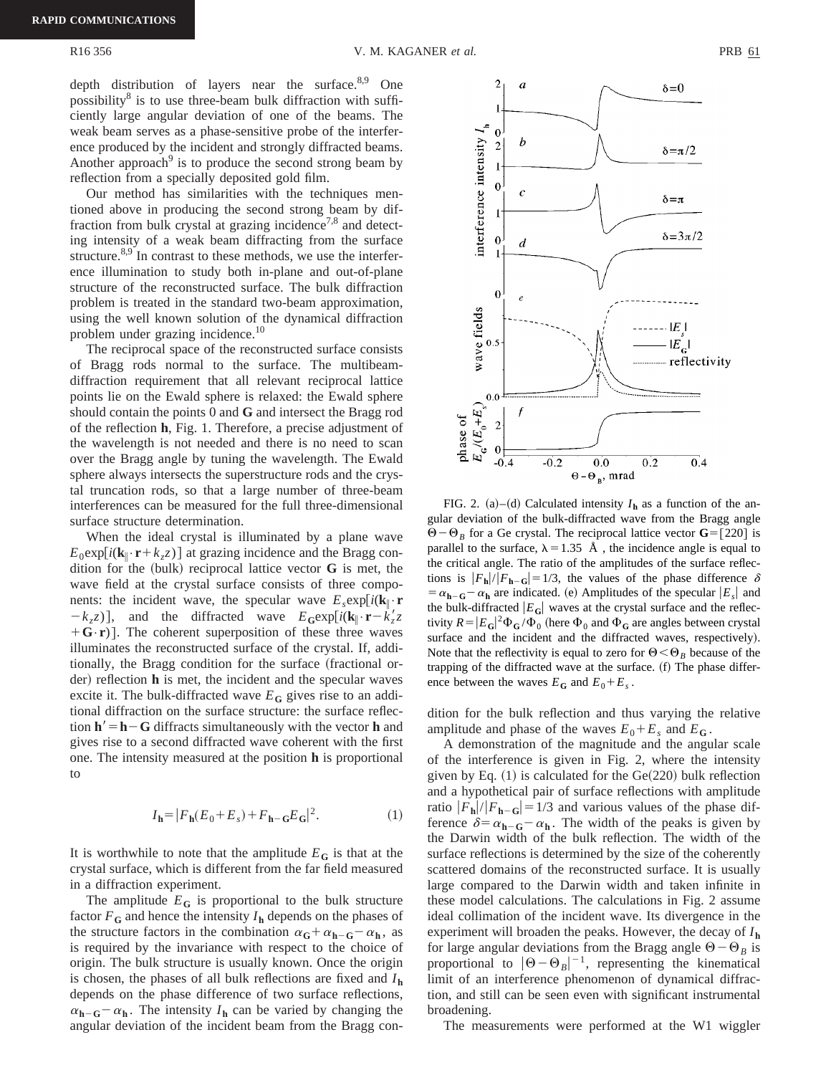depth distribution of layers near the surface. $8.9$  One possibility<sup>8</sup> is to use three-beam bulk diffraction with sufficiently large angular deviation of one of the beams. The weak beam serves as a phase-sensitive probe of the interference produced by the incident and strongly diffracted beams. Another approach $9$  is to produce the second strong beam by reflection from a specially deposited gold film.

Our method has similarities with the techniques mentioned above in producing the second strong beam by diffraction from bulk crystal at grazing incidence<sup>7,8</sup> and detecting intensity of a weak beam diffracting from the surface structure. $8,9$  In contrast to these methods, we use the interference illumination to study both in-plane and out-of-plane structure of the reconstructed surface. The bulk diffraction problem is treated in the standard two-beam approximation, using the well known solution of the dynamical diffraction problem under grazing incidence.<sup>10</sup>

The reciprocal space of the reconstructed surface consists of Bragg rods normal to the surface. The multibeamdiffraction requirement that all relevant reciprocal lattice points lie on the Ewald sphere is relaxed: the Ewald sphere should contain the points 0 and **G** and intersect the Bragg rod of the reflection **h**, Fig. 1. Therefore, a precise adjustment of the wavelength is not needed and there is no need to scan over the Bragg angle by tuning the wavelength. The Ewald sphere always intersects the superstructure rods and the crystal truncation rods, so that a large number of three-beam interferences can be measured for the full three-dimensional surface structure determination.

When the ideal crystal is illuminated by a plane wave  $E_0 \exp[i(\mathbf{k}_{\parallel} \cdot \mathbf{r} + k_z z)]$  at grazing incidence and the Bragg condition for the  $(bulk)$  reciprocal lattice vector  $G$  is met, the wave field at the crystal surface consists of three components: the incident wave, the specular wave  $E_s \exp[i(\mathbf{k}_\parallel \cdot \mathbf{r})]$  $-k_z z$ )], and the diffracted wave  $E_G \exp[i(\mathbf{k}_{\parallel} \cdot \mathbf{r} - \hat{k}_z^{\'} z]$  $+$ **G** $\cdot$ **r**). The coherent superposition of these three waves illuminates the reconstructed surface of the crystal. If, additionally, the Bragg condition for the surface (fractional order) reflection **h** is met, the incident and the specular waves excite it. The bulk-diffracted wave  $E_G$  gives rise to an additional diffraction on the surface structure: the surface reflection  $h' = h - G$  diffracts simultaneously with the vector **h** and gives rise to a second diffracted wave coherent with the first one. The intensity measured at the position **h** is proportional to

$$
I_{\mathbf{h}} = |F_{\mathbf{h}}(E_0 + E_s) + F_{\mathbf{h} - \mathbf{G}}E_{\mathbf{G}}|^2. \tag{1}
$$

It is worthwhile to note that the amplitude  $E_G$  is that at the crystal surface, which is different from the far field measured in a diffraction experiment.

The amplitude  $E_G$  is proportional to the bulk structure factor  $F_G$  and hence the intensity  $I_h$  depends on the phases of the structure factors in the combination  $\alpha_{G} + \alpha_{h-G} - \alpha_{h}$ , as is required by the invariance with respect to the choice of origin. The bulk structure is usually known. Once the origin is chosen, the phases of all bulk reflections are fixed and *I***<sup>h</sup>** depends on the phase difference of two surface reflections,  $\alpha_{h-G} - \alpha_h$ . The intensity  $I_h$  can be varied by changing the angular deviation of the incident beam from the Bragg coninterference intensity  $I_{\rm h}$ 

 $\boldsymbol{2}$  $\boldsymbol{a}$  $\delta = 0$  $\mathbf{0}$ b  $2<sup>1</sup>$  $\delta = \pi/2$  $\overline{0}$  $\mathcal{C}_{0}$  $\delta = \pi$  $\delta = 3\pi/2$  $\theta$ d  $\overline{0}$ wave fields  $\overline{\cdots}$  .  $\overline{E}$   $\overline{\phantom{a}}$  $|E_{\rm g}|$ reflectivity  $0.0$ 



FIG. 2. (a)–(d) Calculated intensity  $I<sub>h</sub>$  as a function of the angular deviation of the bulk-diffracted wave from the Bragg angle  $\Theta - \Theta_B$  for a Ge crystal. The reciprocal lattice vector **G**=[220] is parallel to the surface,  $\lambda = 1.35$  Å, the incidence angle is equal to the critical angle. The ratio of the amplitudes of the surface reflections is  $|F_{\bf h}|/|F_{\bf h}-{\bf g}|=1/3$ , the values of the phase difference  $\delta$  $= \alpha_{\mathbf{h}-\mathbf{G}} - \alpha_{\mathbf{h}}$  are indicated. (e) Amplitudes of the specular  $|E_s|$  and the bulk-diffracted  $|E_G|$  waves at the crystal surface and the reflectivity  $R = |E_G|^2 \Phi_G / \Phi_0$  (here  $\Phi_0$  and  $\Phi_G$  are angles between crystal surface and the incident and the diffracted waves, respectively). Note that the reflectivity is equal to zero for  $0 < \theta_B$  because of the trapping of the diffracted wave at the surface. (f) The phase difference between the waves  $E_G$  and  $E_0 + E_s$ .

dition for the bulk reflection and thus varying the relative amplitude and phase of the waves  $E_0 + E_s$  and  $E_{\mathbf{G}}$ .

A demonstration of the magnitude and the angular scale of the interference is given in Fig. 2, where the intensity given by Eq.  $(1)$  is calculated for the Ge $(220)$  bulk reflection and a hypothetical pair of surface reflections with amplitude ratio  $|F_{\bf h}|/|F_{\bf h-G}| = 1/3$  and various values of the phase difference  $\delta = \alpha_{h-G} - \alpha_h$ . The width of the peaks is given by the Darwin width of the bulk reflection. The width of the surface reflections is determined by the size of the coherently scattered domains of the reconstructed surface. It is usually large compared to the Darwin width and taken infinite in these model calculations. The calculations in Fig. 2 assume ideal collimation of the incident wave. Its divergence in the experiment will broaden the peaks. However, the decay of *I***<sup>h</sup>** for large angular deviations from the Bragg angle  $\Theta - \Theta_B$  is proportional to  $|\Theta - \Theta_B|^{-1}$ , representing the kinematical limit of an interference phenomenon of dynamical diffraction, and still can be seen even with significant instrumental broadening.

The measurements were performed at the W1 wiggler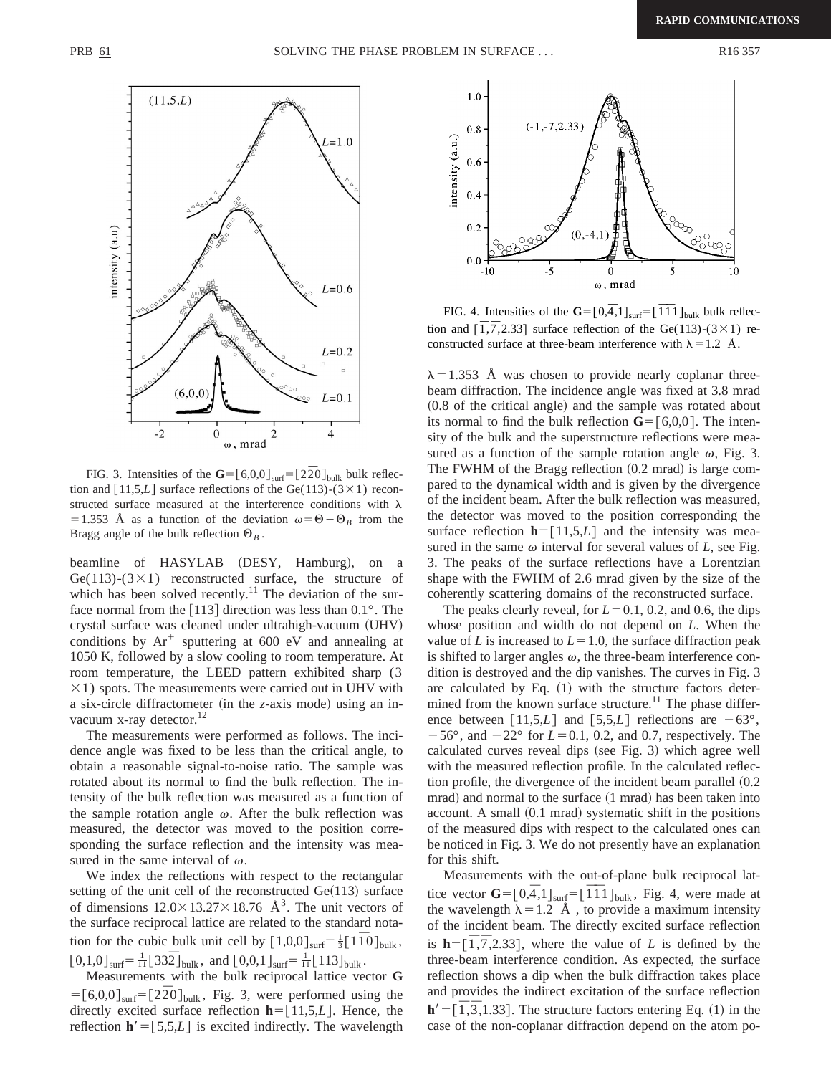

FIG. 3. Intensities of the  $\mathbf{G} = [6,0,0]_{\text{surf}} = [2\overline{2}0]_{\text{bulk}}$  bulk reflection and  $\lceil 11,5,L \rceil$  surface reflections of the Ge(113)-(3×1) reconstructed surface measured at the interference conditions with  $\lambda$ =1.353 Å as a function of the deviation  $\omega = \Theta - \Theta_B$  from the Bragg angle of the bulk reflection  $\Theta_B$ .

beamline of HASYLAB (DESY, Hamburg), on a Ge(113)-( $3\times1$ ) reconstructed surface, the structure of which has been solved recently.<sup>11</sup> The deviation of the surface normal from the [113] direction was less than  $0.1^\circ$ . The crystal surface was cleaned under ultrahigh-vacuum (UHV) conditions by  $Ar^+$  sputtering at 600 eV and annealing at 1050 K, followed by a slow cooling to room temperature. At room temperature, the LEED pattern exhibited sharp (3  $\times$ 1) spots. The measurements were carried out in UHV with a six-circle diffractometer (in the *z*-axis mode) using an invacuum x-ray detector. $12$ 

The measurements were performed as follows. The incidence angle was fixed to be less than the critical angle, to obtain a reasonable signal-to-noise ratio. The sample was rotated about its normal to find the bulk reflection. The intensity of the bulk reflection was measured as a function of the sample rotation angle  $\omega$ . After the bulk reflection was measured, the detector was moved to the position corresponding the surface reflection and the intensity was measured in the same interval of  $\omega$ .

We index the reflections with respect to the rectangular setting of the unit cell of the reconstructed  $Ge(113)$  surface of dimensions  $12.0\times13.27\times18.76$  Å<sup>3</sup>. The unit vectors of the surface reciprocal lattice are related to the standard notation for the cubic bulk unit cell by  $[1,0,0]_{\text{surf}} = \frac{1}{3} [1\overline{10}]_{\text{bulk}}$ ,  $[0,1,0]_{\text{surf}} = \frac{1}{11} [33\overline{2}]_{\text{bulk}}$ , and  $[0,0,1]_{\text{surf}} = \frac{1}{11} [113]_{\text{bulk}}$ .

Measurements with the bulk reciprocal lattice vector **G**  $=[6,0,0]_{\text{surf}}=[2\overline{2}0]_{\text{bulk}}$ , Fig. 3, were performed using the directly excited surface reflection  $\mathbf{h} = [11,5,L]$ . Hence, the reflection  $h' = [5,5, L]$  is excited indirectly. The wavelength



FIG. 4. Intensities of the  $\mathbf{G} = [0, \bar{4}, 1]_{\text{surf}} = [\bar{1} \bar{1} \bar{1}]_{\text{bulk}}$  bulk reflection and  $\left[\overline{1}, \overline{7}, 2.33\right]$  surface reflection of the Ge(113)-(3×1) reconstructed surface at three-beam interference with  $\lambda = 1.2$  Å.

 $\lambda$  = 1.353 Å was chosen to provide nearly coplanar threebeam diffraction. The incidence angle was fixed at 3.8 mrad  $(0.8 \text{ of the critical angle})$  and the sample was rotated about its normal to find the bulk reflection  $\mathbf{G} = [6,0,0]$ . The intensity of the bulk and the superstructure reflections were measured as a function of the sample rotation angle  $\omega$ , Fig. 3. The FWHM of the Bragg reflection  $(0.2 \text{ mrad})$  is large compared to the dynamical width and is given by the divergence of the incident beam. After the bulk reflection was measured, the detector was moved to the position corresponding the surface reflection  $\mathbf{h} = [11, 5, L]$  and the intensity was measured in the same  $\omega$  interval for several values of *L*, see Fig. 3. The peaks of the surface reflections have a Lorentzian shape with the FWHM of 2.6 mrad given by the size of the coherently scattering domains of the reconstructed surface.

The peaks clearly reveal, for  $L=0.1, 0.2$ , and 0.6, the dips whose position and width do not depend on *L*. When the value of *L* is increased to  $L=1.0$ , the surface diffraction peak is shifted to larger angles  $\omega$ , the three-beam interference condition is destroyed and the dip vanishes. The curves in Fig. 3 are calculated by Eq.  $(1)$  with the structure factors determined from the known surface structure.<sup>11</sup> The phase difference between [11,5,*L*] and [5,5,*L*] reflections are  $-63^{\circ}$ ,  $-56^{\circ}$ , and  $-22^{\circ}$  for  $L=0.1$ , 0.2, and 0.7, respectively. The calculated curves reveal dips (see Fig. 3) which agree well with the measured reflection profile. In the calculated reflection profile, the divergence of the incident beam parallel  $(0.2)$ mrad) and normal to the surface  $(1 \text{ mrad})$  has been taken into account. A small  $(0.1 \text{ mrad})$  systematic shift in the positions of the measured dips with respect to the calculated ones can be noticed in Fig. 3. We do not presently have an explanation for this shift.

Measurements with the out-of-plane bulk reciprocal lattice vector  $\mathbf{G} = [0, \overline{4}, 1]_{\text{surf}} = [\overline{1} \overline{1} 1]_{\text{bulk}}$ , Fig. 4, were made at the wavelength  $\lambda=1.2$  Å, to provide a maximum intensity of the incident beam. The directly excited surface reflection is  $\mathbf{h} = [\overline{1}, \overline{7}, 2.33]$ , where the value of *L* is defined by the three-beam interference condition. As expected, the surface reflection shows a dip when the bulk diffraction takes place and provides the indirect excitation of the surface reflection  $h' = [\overline{1}, \overline{3}, 1.33]$ . The structure factors entering Eq. (1) in the case of the non-coplanar diffraction depend on the atom po